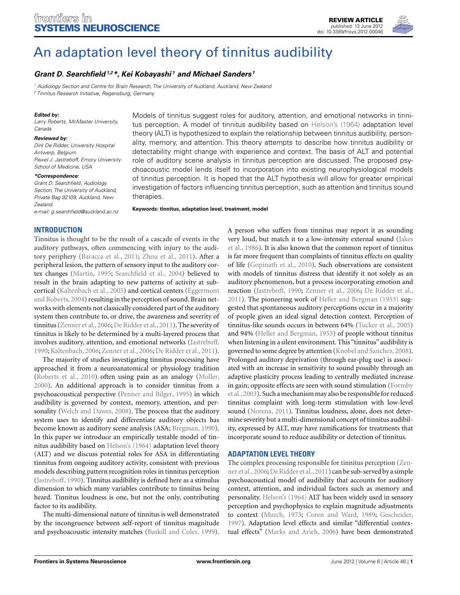

# [An adaptation level theory of tinnitus audibility](http://www.frontiersin.org/Systems_Neuroscience/10.3389/fnsys.2012.00046/abstract)

# *[Grant D. Searchfield1](http://www.frontiersin.org/Community/WhosWhoActivity.aspx?sname=GrantSearchfield&UID=33990),2\*, [Kei Kobayashi](http://www.frontiersin.org/Community/WhosWhoActivity.aspx?sname=KeiKobayashi&UID=52614) <sup>1</sup> and [Michael Sanders](http://www.frontiersin.org/Community/WhosWhoActivity.aspx?sname=MichaelSanders&UID=54663) <sup>1</sup>*

<sup>1</sup> Audiology Section and Centre for Brain Research, The University of Auckland, Auckland, New Zealand

<sup>2</sup> Tinnitus Research Initiative, Regensburg, Germany

### *Edited by:*

Larry Roberts, McMaster University, Canada

#### *Reviewed by:*

Dirk De Ridder, University Hospital Antwerp, Belgium Pawel J. Jastreboff, Emory University School of Medicine, USA

#### *\*Correspondence:*

Grant D. Searchfield, Audiology Section, The University of Auckland, Private Bag 92109, Auckland, New Zealand.

e-mail: [g.searchfield@auckland.ac.nz](mailto:g.searchfield@auckland.ac.nz)

Models of tinnitus suggest roles for auditory, attention, and emotional networks in tinnitus perception. A model of tinnitus audibility based on [Helson's](#page-8-0) [\(1964\)](#page-8-0) adaptation level theory (ALT) is hypothesized to explain the relationship between tinnitus audibility, personality, memory, and attention. This theory attempts to describe how tinnitus audibility or detectability might change with experience and context. The basis of ALT and potential role of auditory scene analysis in tinnitus perception are discussed. The proposed psychoacoustic model lends itself to incorporation into existing neurophysiological models of tinnitus perception. It is hoped that the ALT hypothesis will allow for greater empirical investigation of factors influencing tinnitus perception, such as attention and tinnitus sound therapies.

**Keywords: tinnitus, adaptation level, treatment, model**

## **INTRODUCTION**

Tinnitus is thought to be the result of a cascade of events in the auditory pathways, often commencing with injury to the auditory periphery [\(Baracca et al.](#page-6-0), [2011;](#page-6-0) [Zhou et al., 2011](#page-8-0)). After a peripheral lesion, the pattern of sensory input to the auditory cortex changes [\(Martin](#page-7-0), [1995;](#page-7-0) [Searchfield et al.](#page-8-0), [2004](#page-8-0)) believed to result in the brain adapting to new patterns of activity at subcortical [\(Kaltenbach et al.](#page-7-0)[,](#page-6-0) [2005](#page-7-0)[\) and cortical centers \(](#page-6-0)Eggermont and Roberts, [2004](#page-6-0)) resulting in the perception of sound. Brain networks with elements not classically considered part of the auditory system then contribute to, or drive, the awareness and severity of tinnitus [\(Zenner et al.](#page-8-0), [2006;](#page-8-0) [De Ridder et al.](#page-6-0), [2011](#page-6-0)). The severity of tinnitus is likely to be determined by a multi-layered process that involves auditory, attention, and emotional networks [\(Jastreboff,](#page-7-0) [1990;Kaltenbach, 2006;](#page-7-0) [Zenner et al., 2006](#page-8-0); [De Ridder et al.](#page-6-0), [2011](#page-6-0)).

The majority of studies investigating tinnitus processing have approached it from a neuroanatomical or physiology tradition [\(Roberts et al.](#page-7-0), [2010](#page-7-0)) often using pain as an analogy [\(Moller,](#page-7-0) [2000\)](#page-7-0). An additional approach is to consider tinnitus from a psychoacoustical perspective [\(Penner and Bilger](#page-7-0), [1995](#page-7-0)) in which audibility is governed by context, memory, attention, and per-sonality [\(Welch and Dawes](#page-8-0), [2008](#page-8-0)). The process that the auditory system uses to identify and differentiate auditory objects has become known as auditory scene analysis (ASA; [Bregman, 1990](#page-6-0)). In this paper we introduce an empirically testable model of tinnitus audibility based on [Helson's](#page-8-0) [\(1964](#page-8-0)) adaptation level theory (ALT) and we discuss potential roles for ASA in differentiating tinnitus from ongoing auditory activity, consistent with previous models describing pattern recognition roles in tinnitus perception [\(Jastreboff](#page-7-0), [1990](#page-7-0)). Tinnitus audibility is defined here as a stimulus dimension to which many variables contribute to tinnitus being heard. Tinnitus loudness is one, but not the only, contributing factor to its audibility.

The multi-dimensional nature of tinnitus is well demonstrated by the incongruence between self-report of tinnitus magnitude and psychoacoustic intensity matches [\(Baskill and Coles, 1999](#page-6-0)).

A person who suffers from tinnitus may report it as sounding very [loud, but match it to a low-intensity external sound \(](#page-7-0)Jakes et al., [1986](#page-7-0)). It is also known that the common report of tinnitus is far more frequent than complaints of tinnitus effects on quality of life [\(Gopinath et al., 2010](#page-6-0)). Such observations are consistent with models of tinnitus distress that identify it not solely as an auditory phenomenon, but a process incorporating emotion and reaction [\(Jastreboff, 1990](#page-7-0); [Zenner et al.](#page-8-0), [2006;](#page-8-0) [De Ridder et al.,](#page-6-0) [2011\)](#page-6-0). The pioneering work of [Heller and Bergman](#page-7-0) [\(1953](#page-7-0)) suggested that spontaneous auditory perceptions occur in a majority of people given an ideal signal detection context. Perception of tinnitus-like sounds occurs in between 64% [\(Tucker et al., 2005](#page-8-0)) and 94% [\(Heller and Bergman, 1953](#page-7-0)) of people without tinnitus when listening in a silent environment. This "tinnitus" audibility is governed to some degree by attention [\(Knobel and Sanchez](#page-7-0), [2008](#page-7-0)). Prolonged auditory deprivation (through ear-plug use) is associated with an increase in sensitivity to sound possibly through an adaptive plasticity process leading to centrally mediated increase in g[ain; opposite effects are seen with sound stimulation \(](#page-6-0)Formby et al.,[2003\)](#page-6-0). Such a mechanism may also be responsiblefor reduced tinnitus complaint with long-term stimulation with low-level sound [\(Norena](#page-7-0), [2011](#page-7-0)). Tinnitus loudness, alone, does not determine severity but a multi-dimensional concept of tinnitus audibility, expressed by ALT, may have ramifications for treatments that incorporate sound to reduce audibility or detection of tinnitus.

# **ADAPTATION LEVEL THEORY**

The co[mplex processing responsible for tinnitus perception \(](#page-8-0)Zenner et al.,[2006;](#page-8-0)[De Ridder et al.,2011](#page-6-0)) can be sub-served by a simple psychoacoustical model of audibility that accounts for auditory context, attention, and individual factors such as memory and personality. [Helson's](#page-8-0) [\(1964](#page-8-0)) ALT has been widely used in sensory perception and psychophysics to explain magnitude adjustments to context [\(Murch, 1973](#page-7-0); [Coren and Ward, 1989;](#page-6-0) [Gescheider,](#page-6-0) [1997\)](#page-6-0). Adaptation level effects and similar "differential contextual effects" [\(Marks and Arieh](#page-7-0), [2006](#page-7-0)) have been demonstrated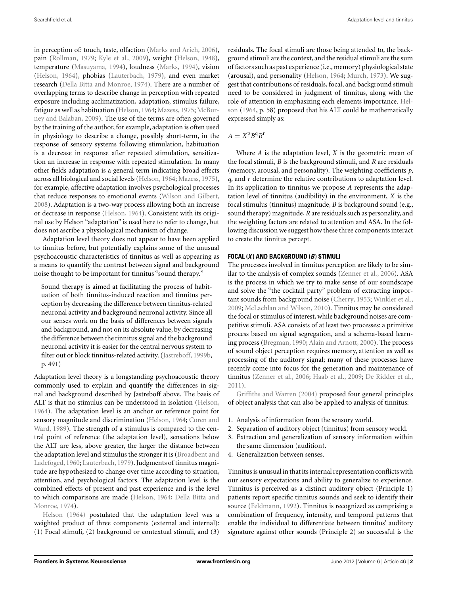in perception of: touch, taste, olfaction [\(Marks and Arieh, 2006](#page-7-0)), pain [\(Rollman, 1979;](#page-7-0) [Kyle et al., 2009](#page-7-0)), weight [\(Helson, 1948](#page-7-0)), temperature [\(Masuyama, 1994](#page-7-0)), loudness [\(Marks, 1994](#page-7-0)), vision [\(Helson, 1964](#page-7-0)), phobias [\(Lauterbach](#page-7-0), [1979\)](#page-7-0), and even market research [\(Della Bitta and Monroe, 1974](#page-6-0)). There are a number of overlapping terms to describe change in perception with repeated exposure including acclimatization, adaptation, stimulus failure, fatigue as well as habituation [\(Helson](#page-7-0), [1964](#page-7-0); [Mazess, 1975;](#page-7-0) McBurney and Balaban, [2009](#page-7-0)). The use of the terms are often governed by the training of the author, for example, adaptation is often used in physiology to describe a change, possibly short-term, in the response of sensory systems following stimulation, habituation is a decrease in response after repeated stimulation, sensitization an increase in response with repeated stimulation. In many other fields adaptation is a general term indicating broad effects across all biological and social levels [\(Helson, 1964](#page-7-0); [Mazess](#page-7-0), [1975](#page-7-0)), for example, affective adaptation involves psychological processes that reduce responses to emotional events [\(Wilson and Gilbert,](#page-8-0) [2008\)](#page-8-0). Adaptation is a two-way process allowing both an increase or decrease in response [\(Helson](#page-7-0), [1964\)](#page-7-0). Consistent with its original use by Helson "adaptation" is used here to refer to change, but does not ascribe a physiological mechanism of change.

Adaptation level theory does not appear to have been applied to tinnitus before, but potentially explains some of the unusual psychoacoustic characteristics of tinnitus as well as appearing as a means to quantify the contrast between signal and background noise thought to be important for tinnitus "sound therapy."

Sound therapy is aimed at facilitating the process of habituation of both tinnitus-induced reaction and tinnitus perception by decreasing the difference between tinnitus-related neuronal activity and background neuronal activity. Since all our senses work on the basis of differences between signals and background, and not on its absolute value, by decreasing the difference between the tinnitus signal and the background neuronal activity it is easier for the central nervous system to filter out or block tinnitus-related activity. [\(Jastreboff, 1999b](#page-7-0), p. 491)

Adaptation level theory is a longstanding psychoacoustic theory commonly used to explain and quantify the differences in signal and background described by Jastreboff above. The basis of ALT is that no stimulus can be understood in isolation [\(Helson,](#page-7-0) [1964\)](#page-7-0). The adaptation level is an anchor or reference point for sens[ory magnitude and discrimination](#page-6-0) [\(Helson](#page-7-0)[,](#page-6-0) [1964](#page-7-0)[;](#page-6-0) Coren and Ward, [1989\)](#page-6-0). The strength of a stimulus is compared to the central point of reference (the adaptation level), sensations below the ALT are less, above greater, the larger the distance between the adapt[ation level and stimulus the stronger it is \(](#page-6-0)Broadbent and Ladefoged, [1960](#page-6-0); [Lauterbach](#page-7-0), [1979](#page-7-0)). Judgments of tinnitus magnitude are hypothesized to change over time according to situation, attention, and psychological factors. The adaptation level is the combined effects of present and past experience and is the level to whic[h comparisons are made](#page-6-0) [\(Helson](#page-7-0)[,](#page-6-0) [1964;](#page-7-0) Della Bitta and Monroe, [1974](#page-6-0)).

Helson [\(1964](#page-7-0)) postulated that the adaptation level was a weighted product of three components (external and internal): (1) Focal stimuli, (2) background or contextual stimuli, and (3)

residuals. The focal stimuli are those being attended to, the background stimuli are the context, and the residual stimuli are the sum of factors such as past experience (i.e.,memory) physiological state (arousal), and personality [\(Helson, 1964](#page-7-0); [Murch, 1973\)](#page-7-0). We suggest that contributions of residuals, focal, and background stimuli need to be considered in judgment of tinnitus, along with the rol[e of attention in emphasizing each elements importance.](#page-7-0) Helson [\(1964,](#page-7-0) p. 58) proposed that his ALT could be mathematically expressed simply as:

$$
A = X^{\rm p} B^{\rm q} R^{\rm r}
$$

Where *A* is the adaptation level, *X* is the geometric mean of the focal stimuli, *B* is the background stimuli, and *R* are residuals (memory, arousal, and personality). The weighting coefficients *p*, *q*, and *r* determine the relative contributions to adaptation level. In its application to tinnitus we propose *A* represents the adaptation level of tinnitus (audibility) in the environment, *X* is the focal stimulus (tinnitus) magnitude, *B* is background sound (e.g., sound therapy) magnitude,*R* are residuals such as personality, and the weighting factors are related to attention and ASA. In the following discussion we suggest how these three components interact to create the tinnitus percept.

## **FOCAL (***X* **) AND BACKGROUND (***B***) STIMULI**

The processes involved in tinnitus perception are likely to be similar to the analysis of complex sounds [\(Zenner et al.](#page-8-0), [2006\)](#page-8-0). ASA is the process in which we try to make sense of our soundscape and solve the "the cocktail party" problem of extracting important sounds from background noise [\(Cherry, 1953;](#page-6-0) [Winkler et al.,](#page-8-0) [2009;](#page-8-0) [McLachlan and Wilson, 2010](#page-7-0)). Tinnitus may be considered the focal or stimulus of interest, while background noises are competitive stimuli. ASA consists of at least two processes: a primitive process based on signal segregation, and a schema-based learning process [\(Bregman](#page-6-0), [1990](#page-6-0); [Alain and Arnott](#page-6-0), [2000](#page-6-0)). The process of sound object perception requires memory, attention as well as processing of the auditory signal; many of these processes have recently come into focus for the generation and maintenance of tinnitus [\(Zenner et al.](#page-8-0), [2006;](#page-8-0) [Haab et al.](#page-7-0), [2009;](#page-7-0) [De Ridder et al.,](#page-6-0) [2011\).](#page-6-0)

Griffiths and Warren [\(2004\)](#page-6-0) proposed four general principles of object analysis that can also be applied to analysis of tinnitus:

- 1. Analysis of information from the sensory world.
- 2. Separation of auditory object (tinnitus) from sensory world.
- 3. Extraction and generalization of sensory information within the same dimension (audition).
- 4. Generalization between senses.

Tinnitus is unusual in that its internal representation conflicts with our sensory expectations and ability to generalize to experience. Tinnitus is perceived as a distinct auditory object (Principle 1) patients report specific tinnitus sounds and seek to identify their source [\(Feldmann](#page-6-0), [1992](#page-6-0)). Tinnitus is recognized as comprising a combination of frequency, intensity, and temporal patterns that enable the individual to differentiate between tinnitus' auditory signature against other sounds (Principle 2) so successful is the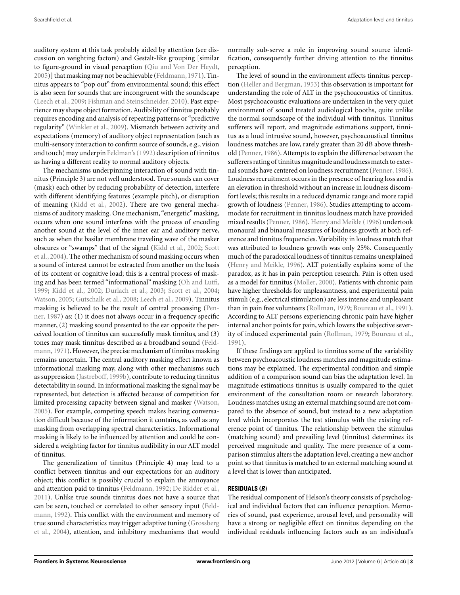auditory system at this task probably aided by attention (see discussion on weighting factors) and Gestalt-like grouping [similar to figure-ground in visual perception [\(Qiu and Von Der Heydt,](#page-7-0) [2005\)](#page-7-0)] that masking may not be achievable [\(Feldmann](#page-6-0),[1971](#page-6-0)). Tinnitus appears to "pop out" from environmental sound; this effect is also seen for sounds that are incongruent with the soundscape [\(Leech et al., 2009;](#page-7-0) [Fishman and Steinschneider, 2010\)](#page-6-0). Past experience may shape object formation. Audibility of tinnitus probably requires encoding and analysis of repeating patterns or "predictive regularity" [\(Winkler et al., 2009](#page-8-0)). Mismatch between activity and expectations (memory) of auditory object representation (such as multi-sensory interaction to confirm source of sounds, e.g., vision and touch) may underpin [Feldman's](#page-8-0) [\(1992](#page-8-0)) description of tinnitus as having a different reality to normal auditory objects.

The mechanisms underpinning interaction of sound with tinnitus (Principle 3) are not well understood. True sounds can cover (mask) each other by reducing probability of detection, interfere with different identifying features (example pitch), or disruption of meaning [\(Kidd et al., 2002\)](#page-7-0). There are two general mechanisms of auditory masking. One mechanism, "energetic" masking, occurs when one sound interferes with the process of encoding another sound at the level of the inner ear and auditory nerve, such as when the basilar membrane traveling wave of the masker obsc[ures or "swamps" that of the signal \(Kidd et al., 2002;](#page-7-0) Scott et al., [2004\)](#page-7-0). The other mechanism of sound masking occurs when a sound of interest cannot be extracted from another on the basis of its content or cognitive load; this is a central process of masking and has been termed "informational" masking [\(Oh and Lutfi,](#page-7-0) [1999;](#page-7-0) [Kidd et al., 2002;](#page-7-0) [Durlach et al.](#page-6-0), [2003](#page-6-0); [Scott et al., 2004;](#page-7-0) [Watson, 2005](#page-8-0); [Gutschalk et al.](#page-7-0), [2008;](#page-7-0) [Leech et al., 2009](#page-7-0)). Tinnitus ma[sking is believed to be the result of central processing \(](#page-7-0)Penner, [1987\)](#page-7-0) as: (1) it does not always occur in a frequency specific manner, (2) masking sound presented to the ear opposite the perceived location of tinnitus can successfully mask tinnitus, and (3) tones [may mask tinnitus described as a broadband sound \(](#page-6-0)Feldmann, [1971](#page-6-0)). However, the precise mechanism of tinnitus masking remains uncertain. The central auditory masking effect known as informational masking may, along with other mechanisms such as suppression [\(Jastreboff, 1999b](#page-7-0)), contribute to reducing tinnitus detectability in sound. In informational masking the signal may be represented, but detection is affected because of competition for limited processing capacity between signal and masker [\(Watson,](#page-8-0) [2005\)](#page-8-0). For example, competing speech makes hearing conversation difficult because of the information it contains, as well as any masking from overlapping spectral characteristics. Informational masking is likely to be influenced by attention and could be considered a weighting factor for tinnitus audibility in our ALT model of tinnitus.

The generalization of tinnitus (Principle 4) may lead to a conflict between tinnitus and our expectations for an auditory object; this conflict is possibly crucial to explain the annoyance and attention paid to tinnitus [\(Feldmann, 1992](#page-6-0); [De Ridder et al.,](#page-6-0) [2011\)](#page-6-0). Unlike true sounds tinnitus does not have a source that can b[e](#page-6-0) [seen,](#page-6-0) [touched](#page-6-0) [or](#page-6-0) [correlated](#page-6-0) [to](#page-6-0) [other](#page-6-0) [sensory](#page-6-0) [input](#page-6-0) [\(](#page-6-0)Feldmann, [1992](#page-6-0)). This conflict with the environment and memory of true [sound characteristics may trigger adaptive tuning \(](#page-6-0)Grossberg et al., [2004\)](#page-6-0), attention, and inhibitory mechanisms that would

normally sub-serve a role in improving sound source identification, consequently further driving attention to the tinnitus perception.

The level of sound in the environment affects tinnitus perception [\(Heller and Bergman](#page-7-0), [1953](#page-7-0)) this observation is important for understanding the role of ALT in the psychoacoustics of tinnitus. Most psychoacoustic evaluations are undertaken in the very quiet environment of sound treated audiological booths, quite unlike the normal soundscape of the individual with tinnitus. Tinnitus sufferers will report, and magnitude estimations support, tinnitus as a loud intrusive sound, however, psychoacoustical tinnitus loudness matches are low, rarely greater than 20 dB above threshold [\(Penner, 1986](#page-7-0)). Attempts to explain the difference between the sufferers rating of tinnitus magnitude and loudness match to external sounds have centered on loudness recruitment [\(Penner](#page-7-0), [1986](#page-7-0)). Loudness recruitment occurs in the presence of hearing loss and is an elevation in threshold without an increase in loudness discomfort levels; this results in a reduced dynamic range and more rapid growth of loudness [\(Penner](#page-7-0), [1986\)](#page-7-0). Studies attempting to accommodate for recruitment in tinnitus loudness match have provided mixed results [\(Penner, 1986\)](#page-7-0). [Henry and Meikle](#page-7-0) [\(1996\)](#page-7-0) undertook monaural and binaural measures of loudness growth at both reference and tinnitus frequencies. Variability in loudness match that was attributed to loudness growth was only 25%. Consequently much of the paradoxical loudness of tinnitus remains unexplained [\(Henry and Meikle, 1996\)](#page-7-0). ALT potentially explains some of the paradox, as it has in pain perception research. Pain is often used as a model for tinnitus [\(Moller](#page-7-0), [2000](#page-7-0)). Patients with chronic pain have higher thresholds for unpleasantness, and experimental pain stimuli (e.g., electrical stimulation) are less intense and unpleasant than in pain free volunteers [\(Rollman](#page-7-0), [1979](#page-7-0); [Boureau et al.](#page-6-0), [1991](#page-6-0)). According to ALT persons experiencing chronic pain have higher internal anchor points for pain, which lowers the subjective severity of induced experimental pain [\(Rollman](#page-7-0), [1979](#page-7-0); [Boureau et al.,](#page-6-0) [1991\)](#page-6-0).

If these findings are applied to tinnitus some of the variability between psychoacoustic loudness matches and magnitude estimations may be explained. The experimental condition and simple addition of a comparison sound can bias the adaptation level. In magnitude estimations tinnitus is usually compared to the quiet environment of the consultation room or research laboratory. Loudness matches using an external matching sound are not compared to the absence of sound, but instead to a new adaptation level which incorporates the test stimulus with the existing reference point of tinnitus. The relationship between the stimulus (matching sound) and prevailing level (tinnitus) determines its perceived magnitude and quality. The mere presence of a comparison stimulus alters the adaptation level, creating a new anchor point so that tinnitus is matched to an external matching sound at a level that is lower than anticipated.

# **RESIDUALS (***R***)**

The residual component of Helson's theory consists of psychological and individual factors that can influence perception. Memories of sound, past experience, arousal level, and personality will have a strong or negligible effect on tinnitus depending on the individual residuals influencing factors such as an individual's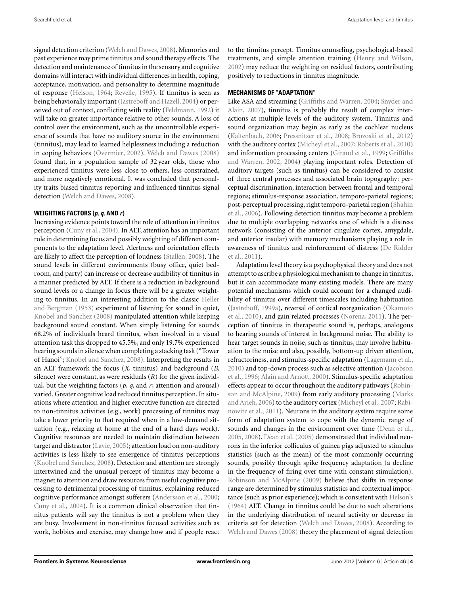signal detection criterion [\(Welch and Dawes, 2008\)](#page-8-0). Memories and past experience may prime tinnitus and sound therapy effects. The detection and maintenance of tinnitus in the sensory and cognitive domains will interact with individual differences in health, coping, acceptance, motivation, and personality to determine magnitude of response [\(Helson, 1964](#page-7-0); [Revelle, 1995](#page-7-0)). If tinnitus is seen as being behaviorally important [\(Jastreboff and Hazell, 2004\)](#page-7-0) or perceived out of context, conflicting with reality [\(Feldmann](#page-6-0), [1992\)](#page-6-0) it will take on greater importance relative to other sounds. A loss of control over the environment, such as the uncontrollable experience of sounds that have no auditory source in the environment (tinnitus), may lead to learned helplessness including a reduction in coping behaviors [\(Overmier](#page-7-0), [2002](#page-7-0)). [Welch and Dawes](#page-8-0) [\(2008](#page-8-0)) found that, in a population sample of 32 year olds, those who experienced tinnitus were less close to others, less constrained, and more negatively emotional. It was concluded that personality traits biased tinnitus reporting and influenced tinnitus signal detection [\(Welch and Dawes, 2008\)](#page-8-0).

## **WEIGHTING FACTORS (***p***,** *q***, AND** *r***)**

Increasing evidence points toward the role of attention in tinnitus perception [\(Cuny et al., 2004\)](#page-6-0). In ALT, attention has an important role in determining focus and possibly weighting of different components to the adaptation level. Alertness and orientation effects are likely to affect the perception of loudness [\(Stallen, 2008](#page-8-0)). The sound levels in different environments (busy office, quiet bedroom, and party) can increase or decrease audibility of tinnitus in a manner predicted by ALT. If there is a reduction in background sound levels or a change in focus there will be a greater weighting to tinnit[us.](#page-7-0) [In](#page-7-0) [an](#page-7-0) [interesting](#page-7-0) [addition](#page-7-0) [to](#page-7-0) [the](#page-7-0) [classic](#page-7-0) Heller and Bergman [\(1953\)](#page-7-0) experiment of listening for sound in quiet, [Knobel and Sanchez](#page-7-0) [\(2008\)](#page-7-0) manipulated attention while keeping background sound constant. When simply listening for sounds 68.2% of individuals heard tinnitus, when involved in a visual attention task this dropped to 45.5%, and only 19.7% experienced hearing sounds in silence when completing a stacking task ("Tower of Hanoi"; [Knobel and Sanchez, 2008](#page-7-0)). Interpreting the results in an ALT framework the focus (*X*, tinnitus) and background (*B*, silence) were constant, as were residuals (*R*) for the given individual, but the weighting factors  $(p, q,$  and  $r$ ; attention and arousal) varied. Greater cognitive load reduced tinnitus perception. In situations where attention and higher executive function are directed to non-tinnitus activities (e.g., work) processing of tinnitus may take a lower priority to that required when in a low-demand situation (e.g., relaxing at home at the end of a hard days work). Cognitive resources are needed to maintain distinction between target and distractor [\(Lavie](#page-7-0), [2005\)](#page-7-0); attention load on non-auditory activities is less likely to see emergence of tinnitus perceptions [\(Knobel and Sanchez](#page-7-0), [2008\)](#page-7-0). Detection and attention are strongly intertwined and the unusual percept of tinnitus may become a magnet to attention and draw resources from useful cognitive processing to detrimental processing of tinnitus; explaining reduced cognitive performance amongst sufferers [\(Andersson et al.](#page-6-0), [2000;](#page-6-0) [Cuny et al.](#page-6-0), [2004\)](#page-6-0). It is a common clinical observation that tinnitus patients will say the tinnitus is not a problem when they are busy. Involvement in non-tinnitus focused activities such as work, hobbies and exercise, may change how and if people react to the tinnitus percept. Tinnitus counseling, psychological-based treatments, and simple attention training [\(Henry and Wilson,](#page-7-0) [2002\)](#page-7-0) may reduce the weighting on residual factors, contributing positively to reductions in tinnitus magnitude.

## **MECHANISMS OF "ADAPTATION"**

Like [ASA and streaming](#page-8-0) [\(Griffiths and Warren](#page-6-0)[,](#page-8-0) [2004;](#page-6-0) Snyder and Alain, [2007\)](#page-8-0), tinnitus is probably the result of complex interactions at multiple levels of the auditory system. Tinnitus and sound organization may begin as early as the cochlear nucleus [\(Kaltenbach](#page-7-0), [2006](#page-7-0); [Pressnitzer et al.](#page-7-0), [2008](#page-7-0); [Brozoski et al.](#page-6-0), [2012](#page-6-0)) with the auditory cortex [\(Micheyl et al.](#page-7-0), [2007](#page-7-0); [Roberts et al.](#page-7-0), [2010](#page-7-0)) and inform[ation processing centers \(Giraud et al., 1999;](#page-6-0) Griffiths and Warren, [2002, 2004\)](#page-6-0) playing important roles. Detection of auditory targets (such as tinnitus) can be considered to consist of three central processes and associated brain topography: perceptual discrimination, interaction between frontal and temporal regions; stimulus-response association, temporo-parietal regions; post[-perceptual](#page-8-0) [processing,](#page-8-0) [right](#page-8-0) [temporo-parietal](#page-8-0) [region](#page-8-0) [\(](#page-8-0)Shahin et al., [2006\)](#page-8-0). Following detection tinnitus may become a problem due to multiple overlapping networks one of which is a distress network (consisting of the anterior cingulate cortex, amygdale, and anterior insular) with memory mechanisms playing a role in awa[reness of tinnitus and reinforcement of distress \(](#page-6-0)De Ridder et al., [2011\)](#page-6-0).

Adaptation level theory is a psychophysical theory and does not attempt to ascribe a physiological mechanism to change in tinnitus, but it can accommodate many existing models. There are many potential mechanisms which could account for a changed audibility of tinnitus over different timescales including habituation [\(Jastreboff, 1999a\), reversal of cortical reorganization \(](#page-7-0)Okamoto et al., [2010](#page-7-0)), and gain related processes [\(Norena, 2011](#page-7-0)). The perception of tinnitus in therapeutic sound is, perhaps, analogous to hearing sounds of interest in background noise. The ability to hear target sounds in noise, such as tinnitus, may involve habituation to the noise and also, possibly, bottom-up driven attention, refractoriness, and stimulus-specific adaptation [\(Lagemann et al.,](#page-7-0) [2010\) and top-down process such as selective attention \(](#page-7-0)Jacobson et al., [1996](#page-7-0); [Alain and Arnott, 2000\)](#page-6-0). Stimulus-specific adaptation effects appear to o[ccur throughout the auditory pathways \(](#page-7-0)Robinson and [McAlpine, 2009\)](#page-7-0) [from](#page-7-0) [early](#page-7-0) [auditory](#page-7-0) [processing](#page-7-0) [\(](#page-7-0)Marks and Arieh, [2006\) to the auditory cortex \(Micheyl et al., 2007;](#page-7-0) Rabinowitz et al., [2011\)](#page-7-0). Neurons in the auditory system require some form of adaptation system to cope with the dynamic range of sounds and changes in the environment over time [\(Dean et al.,](#page-6-0) [2005, 2008\)](#page-6-0). [Dean et al.](#page-6-0) [\(2005\)](#page-6-0) demonstrated that individual neurons in the inferior colliculus of guinea pigs adjusted to stimulus statistics (such as the mean) of the most commonly occurring sounds, possibly through spike frequency adaptation (a decline in the frequency of firing over time with constant stimulation). [Robinson and McAlpine](#page-7-0) [\(2009\)](#page-7-0) believe that shifts in response range are determined by stimulus statistics and contextual importance (such as prior experience); which is consistent with [Helson's](#page-8-0) [\(1964](#page-8-0)) ALT. Change in tinnitus could be due to such alterations in the underlying distribution of neural activity or decrease in criteria set for detection [\(Welch and Dawes](#page-8-0), [2008](#page-8-0)). According to [Welch and Dawes](#page-8-0) [\(2008](#page-8-0)) theory the placement of signal detection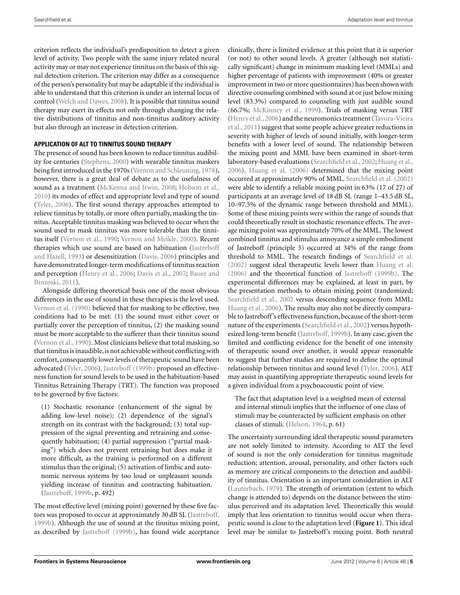criterion reflects the individual's predisposition to detect a given level of activity. Two people with the same injury related neural activity may or may not experience tinnitus on the basis of this signal detection criterion. The criterion may differ as a consequence of the person's personality but may be adaptable if the individual is able to understand that this criterion is under an internal locus of control [\(Welch and Dawes](#page-8-0), [2008](#page-8-0)). It is possible that tinnitus sound therapy may exert its effects not only through changing the relative distributions of tinnitus and non-tinnitus auditory activity but also through an increase in detection criterion.

## **APPLICATION OF ALT TO TINNITUS SOUND THERAPY**

The presence of sound has been known to reduce tinnitus audibility for centuries [\(Stephens](#page-8-0), [2000\)](#page-8-0) with wearable tinnitus maskers being first introduced in the 1970s [\(Vernon and Schleuning, 1978](#page-8-0)), however, there is a great deal of debate as to the usefulness of sound as a treatment [\(McKenna and Irwin](#page-7-0), [2008](#page-7-0); [Hobson et al.,](#page-7-0) [2010\)](#page-7-0) its modes of effect and appropriate level and type of sound [\(Tyler, 2006](#page-8-0)). The first sound therapy approaches attempted to relieve tinnitus by totally, or more often partially, masking the tinnitus. Acceptable tinnitus masking was believed to occur when the sound used to mask tinnitus was more tolerable than the tinnitus itself [\(Vernon et al.](#page-8-0), [1990](#page-8-0); [Vernon and Meikle, 2000\)](#page-8-0). Recent therapies [which use sound are based on habituation \(](#page-7-0)Jastreboff and Hazell, [1993\)](#page-7-0) or desensitization [\(Davis](#page-6-0), [2006\)](#page-6-0) principles and have demonstrated longer-term modifications of tinnitus reaction and per[ception](#page-6-0) [\(Henry et al., 2006;](#page-7-0) [Davis et al., 2007;](#page-6-0) Bauer and Brozoski, [2011\)](#page-6-0).

Alongside differing theoretical basis one of the most obvious differences in the use of sound in these therapies is the level used. [Vernon et al.](#page-8-0) [\(1990](#page-8-0)) believed that for masking to be effective, two conditions had to be met: (1) the sound must either cover or partially cover the perception of tinnitus, (2) the masking sound must be more acceptable to the sufferer than their tinnitus sound [\(Vernon et al., 1990\)](#page-8-0). Most clinicians believe that total masking, so that tinnitus is inaudible, is not achievable without conflicting with comfort, consequently lower levels of therapeutic sound have been advocated [\(Tyler](#page-8-0), [2006](#page-8-0)). [Jastreboff](#page-7-0) [\(1999b](#page-7-0)) proposed an effectiveness function for sound levels to be used in the habituation-based Tinnitus Retraining Therapy (TRT). The function was proposed to be governed by five factors:

(1) Stochastic resonance (enhancement of the signal by adding low-level noise); (2) dependence of the signal's strength on its contrast with the background; (3) total suppression of the signal preventing and retraining and consequently habituation; (4) partial suppression ("partial masking") which does not prevent retraining but does make it more difficult, as the training is performed on a different stimulus than the original; (5) activation of limbic and autonomic nervous systems by too loud or unpleasant sounds yielding increase of tinnitus and contracting habituation. [\(Jastreboff, 1999b,](#page-7-0) p. 492)

The most effective level (mixing point) governed by these five factors was proposed to occur at approximately 30 dB SL [\(Jastreboff,](#page-7-0) [1999b](#page-7-0)). Although the use of sound at the tinnitus mixing point, as described by [Jastreboff](#page-7-0) [\(1999b\)](#page-7-0), has found wide acceptance

clinically, there is limited evidence at this point that it is superior (or not) to other sound levels. A greater (although not statistically significant) change in minimum masking level (MMLs) and higher percentage of patients with improvement (40% or greater improvement in two or more questionnaires) has been shown with directive counseling combined with sound at or just below mixing level (83.3%) compared to counseling with just audible sound (66.7%; [McKinney et al., 1999\)](#page-7-0). Trials of masking versus TRT [\(Henry et al.](#page-7-0)[,](#page-8-0)[2006](#page-7-0)[\) and the neuromonics treatment \(](#page-8-0)Tavora-Vieira et al., [2011\)](#page-8-0) suggest that some people achieve greater reductions in severity with higher of levels of sound initially, with longer-term benefits with a lower level of sound. The relationship between the mixing point and MML have been examined in short-term laboratory-based evaluations [\(Searchfield et al., 2002;](#page-8-0) [Huang et al.,](#page-7-0) [2006\)](#page-7-0). [Huang et al.](#page-7-0) [\(2006](#page-7-0)) determined that the mixing point occurred at approximately 90% of MML. [Searchfield et al.](#page-8-0) [\(2002](#page-8-0)) were able to identify a reliable mixing point in 63% (17 of 27) of participants at an average level of 18 dB SL (range 1–43.5 dB SL, 10–97.5% of the dynamic range between threshold and MML). Some of these mixing points were within the range of sounds that could theoretically result in stochastic resonance effects. The average mixing point was approximately 70% of the MML. The lowest combined tinnitus and stimulus annoyance a simple embodiment of Jastreboff (principle 5) occurred at 34% of the range from threshold to MML. The research findings of [Searchfield et al.](#page-8-0) [\(2002](#page-8-0)) suggest ideal therapeutic levels lower than [Huang et al.](#page-7-0) [\(2006](#page-7-0)) and the theoretical function of [Jastreboff](#page-7-0) [\(1999b](#page-7-0)). The experimental differences may be explained, at least in part, by the presentation methods to obtain mixing point (randomized; [Searchfield et al.](#page-8-0), [2002](#page-8-0) versus descending sequence from MML; [Huang et al., 2006\)](#page-7-0). The results may also not be directly comparable to Jastreboff's effectiveness function, because of the short-term nature of the experiments [\(Searchfield et al., 2002\)](#page-8-0) versus hypothesized long-term benefit [\(Jastreboff](#page-7-0), [1999b](#page-7-0)). In any case, given the limited and conflicting evidence for the benefit of one intensity of therapeutic sound over another, it would appear reasonable to suggest that further studies are required to define the optimal relationship between tinnitus and sound level [\(Tyler, 2006\)](#page-8-0). ALT may assist in quantifying appropriate therapeutic sound levels for a given individual from a psychoacoustic point of view.

The fact that adaptation level is a weighted mean of external and internal stimuli implies that the influence of one class of stimuli may be counteracted by sufficient emphasis on other classes of stimuli. [\(Helson, 1964](#page-7-0), p. 61)

The uncertainty surrounding ideal therapeutic sound parameters are not solely limited to intensity. According to ALT the level of sound is not the only consideration for tinnitus magnitude reduction; attention, arousal, personality, and other factors such as memory are critical components to the detection and audibility of tinnitus. Orientation is an important consideration in ALT [\(Lauterbach](#page-7-0), [1979](#page-7-0)). The strength of orientation (extent to which change is attended to) depends on the distance between the stimulus perceived and its adaptation level. Theoretically this would imply that less orientation to tinnitus would occur when therapeutic sound is close to the adaptation level (**[Figure 1](#page-5-0)**). This ideal level may be similar to Jastreboff's mixing point. Both neutral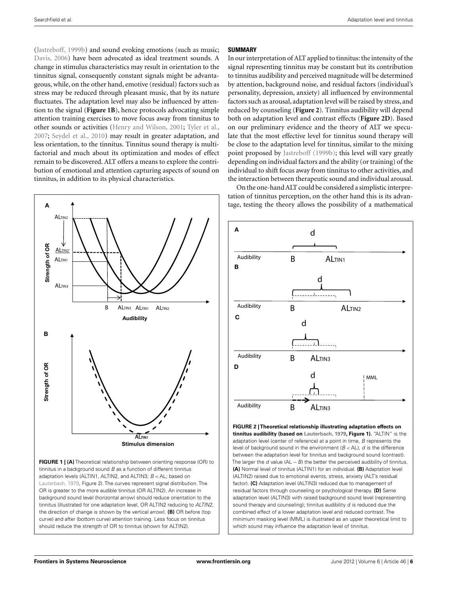<span id="page-5-0"></span>[\(Jastreboff](#page-7-0), [1999b](#page-7-0)) and sound evoking emotions (such as music; [Davis, 2006](#page-6-0)) have been advocated as ideal treatment sounds. A change in stimulus characteristics may result in orientation to the tinnitus signal, consequently constant signals might be advantageous, while, on the other hand, emotive (residual) factors such as stress may be reduced through pleasant music, that by its nature fluctuates. The adaptation level may also be influenced by attention to the signal (**Figure 1B**), hence protocols advocating simple attention training exercises to move focus away from tinnitus to other sounds or activities [\(Henry and Wilson, 2001](#page-7-0); [Tyler et al.,](#page-8-0) [2007;](#page-8-0) [Seydel et al., 2010\)](#page-8-0) may result in greater adaptation, and less orientation, to the tinnitus. Tinnitus sound therapy is multifactorial and much about its optimization and modes of effect remain to be discovered. ALT offers a means to explore the contribution of emotional and attention capturing aspects of sound on tinnitus, in addition to its physical characteristics.

### **SUMMARY**

In our interpretation of ALT applied to tinnitus: the intensity of the signal representing tinnitus may be constant but its contribution to tinnitus audibility and perceived magnitude will be determined by attention, background noise, and residual factors (individual's personality, depression, anxiety) all influenced by environmental factors such as arousal, adaptation level will be raised by stress, and reduced by counseling (**Figure 2**). Tinnitus audibility will depend both on adaptation level and contrast effects (**Figure 2D**). Based on our preliminary evidence and the theory of ALT we speculate that the most effective level for tinnitus sound therapy will be close to the adaptation level for tinnitus, similar to the mixing point proposed by [Jastreboff](#page-7-0) [\(1999b\)](#page-7-0); this level will vary greatly depending on individual factors and the ability (or training) of the individual to shift focus away from tinnitus to other activities, and the interaction between therapeutic sound and individual arousal.

On the one-hand ALT could be considered a simplistic interpretation of tinnitus perception, on the other hand this is its advantage, testing the theory allows the possibility of a mathematical



**FIGURE 1 | (A)** Theoretical relationship between orienting response (OR) to tinnitus in a background sound  $B$  as a function of different tinnitus adaptation levels (ALTIN1, ALTIN2, and ALTIN3;  $B <$ AL; based on [Lauterbach](#page-7-0), [1979](#page-7-0), Figure 2). The curves represent signal distribution. The OR is greater to the more audible tinnitus (OR ALTIN2). An increase in background sound level (horizontal arrow) should reduce orientation to the tinnitus (illustrated for one adaptation level, OR ALTIN2 reducing to ALTIN2, the direction of change is shown by the vertical arrow). **(B)** OR before (top curve) and after (bottom curve) attention training. Less focus on tinnitus should reduce the strength of OR to tinnitus (shown for ALTIN2).



**FIGURE 2 | Theoretical relationship illustrating adaptation effects on tinnitus audibility (based on [Lauterbach, 1979,](#page-7-0) Figure 1).** "ALTIN" is the adaptation level (center of reference) at a point in time, B represents the level of background sound in the environment  $(B < AL)$ , d is the difference between the adaptation level for tinnitus and background sound (contrast). The larger the  $d$  value (AL  $-B$ ) the better the perceived audibility of tinnitus. **(A)** Normal level of tinnitus (ALTIN1) for an individual. **(B)** Adaptation level (ALTIN2) raised due to emotional events, stress, anxiety (ALT's residual factor). **(C)** Adaptation level (ALTIN3) reduced due to management of residual factors through counseling or psychological therapy. **(D)** Same adaptation level (ALTIN3) with raised background sound level (representing sound therapy and counseling); tinnitus audibility  $d$  is reduced due the combined effect of a lower adaptation level and reduced contrast. The minimum masking level (MML) is illustrated as an upper theoretical limit to which sound may influence the adaptation level of tinnitus.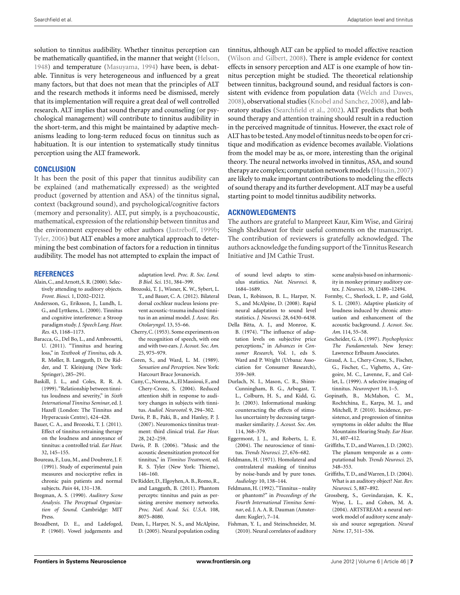<span id="page-6-0"></span>solution to tinnitus audibility. Whether tinnitus perception can be mathematically quantified, in the manner that weight [\(Helson,](#page-7-0) [1948\)](#page-7-0) and temperature [\(Masuyama](#page-7-0), [1994\)](#page-7-0) have been, is debatable. Tinnitus is very heterogeneous and influenced by a great many factors, but that does not mean that the principles of ALT and the research methods it informs need be dismissed, merely that its implementation will require a great deal of well controlled research. ALT implies that sound therapy and counseling (or psychological management) will contribute to tinnitus audibility in the short-term, and this might be maintained by adaptive mechanisms leading to long-term reduced focus on tinnitus such as habituation. It is our intention to systematically study tinnitus perception using the ALT framework.

## **CONCLUSION**

It has been the posit of this paper that tinnitus audibility can be explained (and mathematically expressed) as the weighted product (governed by attention and ASA) of the tinnitus signal, context (background sound), and psychological/cognitive factors (memory and personality). ALT, put simply, is a psychoacoustic, mathematical, expression of the relationship between tinnitus and the environment expressed by other authors [\(Jastreboff](#page-7-0), [1999b;](#page-7-0) [Tyler](#page-8-0), [2006\)](#page-8-0) but ALT enables a more analytical approach to determining the best combination of factors for a reduction in tinnitus audibility. The model has not attempted to explain the impact of

## **REFERENCES**

- Alain,C., and Arnott, S. R. (2000). Selectively attending to auditory objects. *Front. Biosci.* 1, D202–D212.
- Andersson, G., Eriksson, J., Lundh, L. G., and Lyttkens, L. (2000). Tinnitus and cognitive interference: a Stroop paradigm study.*J. Speech Lang. Hear. Res.* 43, 1168–1173.
- Baracca, G., Del Bo, L., and Ambrosetti, U. (2011). "Tinnitus and hearing loss," in *Textbook of Tinnitus*, eds A. R. Møller, B. Langguth, D. De Ridder, and T. Kleinjung (New York: Springer), 285–291.
- Baskill, J. L., and Coles, R. R. A. (1999)."Relationship between tinnitus loudness and severity," in *Sixth International Tinnitus Seminar*, ed. J. Hazell (London: The Tinnitus and Hyperacusis Centre), 424–428.
- Bauer, C. A., and Brozoski, T. J. (2011). Effect of tinnitus retraining therapy on the loudness and annoyance of tinnitus: a controlled trial. *Ear Hear.* 32, 145–155.
- Boureau, F., Luu, M., and Doubrere, J. F. (1991). Study of experimental pain measures and nociceptive reflex in chronic pain patients and normal subjects. *Pain* 44, 131–138.
- Bregman, A. S. (1990). *Auditory Scene Analysis. The Perceptual Organization of Sound*. Cambridge: MIT Press.
- Broadbent, D. E., and Ladefoged, P. (1960). Vowel judgements and

adaptation level. *Proc. R. Soc. Lond. B Biol. Sci.* 151, 384–399.

- Brozoski, T. J., Wisner, K. W., Sybert, L. T., and Bauer, C. A. (2012). Bilateral dorsal cochlear nucleus lesions prevent acoustic-trauma induced tinnitus in an animal model. *J. Assoc. Res. Otolaryngol.* 13, 55–66.
- Cherry,C. (1953). Some experiments on the recognition of speech, with one and with two ears. *J. Acoust. Soc. Am.* 25, 975–979.
- Coren, S., and Ward, L. M. (1989). *Sensation and Perception*. New York: Harcourt Brace Jovanovich.
- Cuny,C.,Norena,A., El Massioui, F., and Chery-Croze, S. (2004). Reduced attention shift in response to auditory changes in subjects with tinnitus. *Audiol. Neurootol.* 9, 294–302.
- Davis, P. B., Paki, B., and Hanley, P. J. (2007). Neuromonics tinnitus treatment: third clinical trial. *Ear Hear.* 28, 242–259.
- Davis, P. B. (2006). "Music and the acoustic desensitization protocol for tinnitus," in *Tinnitus Treatment*, ed. R. S. Tyler (New York: Thieme), 146–160.
- De Ridder, D., Elgoyhen, A. B., Romo, R., and Langguth, B. (2011). Phantom percepts: tinnitus and pain as persisting aversive memory networks. *Proc. Natl. Acad. Sci. U.S.A.* 108, 8075–8080.
- Dean, I., Harper, N. S., and McAlpine, D. (2005). Neural population coding

tinnitus, although ALT can be applied to model affective reaction [\(Wilson and Gilbert, 2008\)](#page-8-0). There is ample evidence for context effects in sensory perception and ALT is one example of how tinnitus perception might be studied. The theoretical relationship between tinnitus, background sound, and residual factors is consistent with evidence from population data [\(Welch and Dawes,](#page-8-0) [2008\)](#page-8-0), observational studies [\(Knobel and Sanchez, 2008\)](#page-7-0), and laboratory studies [\(Searchfield et al.](#page-8-0), [2002\)](#page-8-0). ALT predicts that both sound therapy and attention training should result in a reduction in the perceived magnitude of tinnitus. However, the exact role of ALT has to be tested.Any model of tinnitus needs to be openfor critique and modification as evidence becomes available. Violations from the model may be as, or more, interesting than the original theory. The neural networks involved in tinnitus, ASA, and sound therapy are complex; computation network models [\(Husain,2007](#page-7-0)) are likely to make important contributions to modeling the effects of sound therapy and its further development. ALT may be a useful starting point to model tinnitus audibility networks.

## **ACKNOWLEDGMENTS**

The authors are grateful to Manpreet Kaur, Kim Wise, and Giriraj Singh Shekhawat for their useful comments on the manuscript. The contribution of reviewers is gratefully acknowledged. The authors acknowledge the funding support of the Tinnitus Research Initiative and JM Cathie Trust.

of sound level adapts to stimulus statistics. *Nat. Neurosci.* 8, 1684–1689.

- Dean, I., Robinson, B. L., Harper, N. S., and McAlpine, D. (2008). Rapid neural adaptation to sound level statistics. *J. Neurosci.* 28, 6430–6438.
- Della Bitta, A. J., and Monroe, K. B. (1974). "The influence of adaptation levels on subjective price perceptions," in *Advances in Consumer Research*, Vol. 1, eds S. Ward and P. Wright (Urbana: Association for Consumer Research), 359–369.
- Durlach, N. I., Mason, C. R., Shinn-Cunningham, B. G., Arbogast, T. L., Colburn, H. S., and Kidd, G. Jr. (2003). Informational masking: counteracting the effects of stimulus uncertainty by decreasing targetmasker similarity. *J. Acoust. Soc. Am.* 114, 368–379.
- Eggermont, J. J., and Roberts, L. E. (2004). The neuroscience of tinnitus. *Trends Neurosci.* 27, 676–682.
- Feldmann, H. (1971). Homolateral and contralateral masking of tinnitus by noise-bands and by pure tones. *Audiology* 10, 138–144.
- Feldmann,H. (1992)."Tinnitus reality or phantom?" in *Proceedings of the Fourth International Tinnitus Seminar*, ed. J. A. A. R. Dauman (Amsterdam: Kugler), 7–14.
- Fishman, Y. I., and Steinschneider, M. (2010). Neural correlates of auditory

scene analysis based on inharmonicity in monkey primary auditory cortex. *J. Neurosci.* 30, 12480–12494.

- Formby, C., Sherlock, L. P., and Gold, S. L. (2003). Adaptive plasticity of loudness induced by chronic attenuation and enhancement of the acoustic background. *J. Acoust. Soc. Am.* 114, 55–58.
- Gescheider, G. A. (1997). *Psychophysics: The Fundamentals*. New Jersey: Lawrence Erlbaum Associates.
- Giraud, A. L., Chery-Croze, S., Fischer, G., Fischer, C., Vighetto, A., Gregoire, M. C., Lavenne, F., and Collet, L. (1999). A selective imaging of tinnitus. *Neuroreport* 10, 1–5.
- Gopinath, B., McMahon, C. M., Rochtchina, E., Karpa, M. J., and Mitchell, P. (2010). Incidence, persistence, and progression of tinnitus symptoms in older adults: the Blue Mountains Hearing Study. *Ear Hear.* 31, 407–412.
- Griffiths, T. D., and Warren, J. D. (2002). The planum temporale as a computational hub. *Trends Neurosci.* 25, 348–353.
- Griffiths, T. D., and Warren, J. D. (2004). What is an auditory object? *Nat. Rev. Neurosci.* 5, 887–892.
- Grossberg, S., Govindarajan, K. K., Wyse, L. L., and Cohen, M. A. (2004). ARTSTREAM: a neural network model of auditory scene analysis and source segregation. *Neural Netw.* 17, 511–536.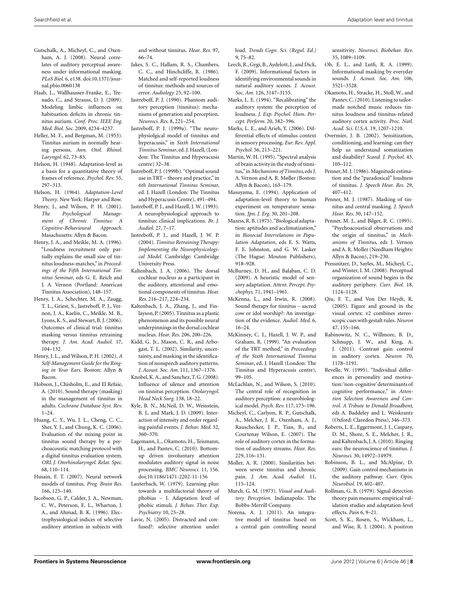- <span id="page-7-0"></span>Gutschalk, A., Micheyl, C., and Oxenham, A. J. (2008). Neural correlates of auditory perceptual awareness under informational masking. *PLoS Biol.* 6, e138. doi:10.1371/journal.pbio.0060138
- Haab, L., Wallhausser-Franke, E., Trenado, C., and Strauss, D. J. (2009). Modeling limbic influences on habituation deficits in chronic tinnitus aurium. *Conf. Proc. IEEE Eng. Med. Biol. Soc.* 2009, 4234–4237.
- Heller, M. F., and Bergman, M. (1953). Tinnitus aurium in normally hearing persons. *Ann. Otol. Rhinol. Laryngol.* 62, 73–83.
- Helson, H. (1948). Adaptation-level as a basis for a quantitative theory of frames of reference. *Psychol. Rev.* 55, 297–313.
- Helson, H. (1964). *Adaptation-Level Theory*. New York: Harper and Row.
- Henry, J., and Wilson, P. H. (2001). *The Psychological Management of Chronic Tinnitus: A Cognitive-Behavioural Approach*. Masachusetts: Allyn & Bacon.
- Henry, J. A., and Meikle, M. A. (1996). "Loudness recruitment only partially explains the small size of tinnitus loudness-matches," in *Proceedings of the Fifth International Tinnitus Seminar*, eds G. E. Reich and J. A. Vernon (Portland: American Tinnitus Association), 148–157.
- Henry, J. A., Schechter, M. A., Zaugg, T. L., Griest, S., Jastreboff, P. J., Vernon, J. A., Kaelin, C., Meikle, M. B., Lyons,K. S., and Stewart, B. J. (2006). Outcomes of clinical trial: tinnitus masking versus tinnitus retraining therapy. *J. Am. Acad. Audiol.* 17, 104–132.
- Henry, J. L., and Wilson, P. H. (2002). *A Self-Management Guide for the Ringing in Your Ears*. Boston: Allyn & Bacon.
- Hobson, J., Chisholm, E., and El Refaie, A. (2010). Sound therapy (masking) in the management of tinnitus in adults. *Cochrane Database Syst. Rev.* 1–24.
- Huang, C. Y., Wu, J. L., Cheng, C. C., Sher, Y. J., and Chung, K. C. (2006). Evaluation of the mixing point in tinnitus sound therapy by a psychoacoustic matching protocol with a digital tinnitus evaluation system. *ORL J. Otorhinolaryngol. Relat. Spec.* 68, 110–114.
- Husain, F. T. (2007). Neural network models of tinnitus. *Prog. Brain Res.* 166, 125–140.
- Jacobson, G. P., Calder, J. A., Newman, C. W., Peterson, E. L., Wharton, J. A., and Ahmad, B. K. (1996). Electrophysiological indices of selective auditory attention in subjects with

and without tinnitus. *Hear. Res.* 97, 66–74.

- Jakes, S. C., Hallam, R. S., Chambers, C. C., and Hinchcliffe, R. (1986). Matched and self-reported loudness of tinnitus: methods and sources of error. *Audiology* 25, 92–100.
- Jastreboff, P. J. (1990). Phantom auditory perception (tinnitus): mechanisms of generation and perception. *Neurosci. Res.* 8, 221–254.
- Jastreboff, P. J. (1999a). "The neurophysiolgical model of tinnitus and hyperacusis," in *Sixth International Tinnitus Seminar*, ed. J. Hazell, (London: The Tinnitus and Hyperacusis centre) 32–38.
- Jastreboff, P. J. (1999b). "Optimal sound use in TRT – theory and practice," in *6th International Tinnitus Seminar*, ed. J. Hazell (London: The Tinnitus and Hyperacusis Centre), 491–494.
- Jastreboff, P. J., and Hazell, J. W. (1993). A neurophysiological approach to tinnitus: clinical implications. *Br. J. Audiol.* 27, 7–17.
- Jastreboff, P. J., and Hazell, J. W. P. (2004). *Tinnitus Retraining Therapy: Implementing the Neurophysicological Model*. Cambridge: Cambridge University Press.
- Kaltenbach, J. A. (2006). The dorsal cochlear nucleus as a participant in the auditory, attentional and emotional components of tinnitus. *Hear. Res.* 216–217, 224–234.
- Kaltenbach, J. A., Zhang, J., and Finlayson, P. (2005). Tinnitus as a plastic phenomenon and its possible neural underpinnings in the dorsal cochlear nucleus. *Hear. Res.* 206, 200–226.
- Kidd, G. Jr., Mason, C. R., and Arbogast, T. L. (2002). Similarity, uncertainty, and masking in the identification of nonspeech auditory patterns. *J. Acoust. Soc. Am.* 111, 1367–1376.
- Knobel,K. A., and Sanchez, T. G. (2008). Influence of silence and attention on tinnitus perception. *Otolaryngol. Head Neck Surg.* 138, 18–22.
- Kyle, B. N., McNeil, D. W., Weinstein, B. J., and Mark, J. D. (2009). Interaction of intensity and order regarding painful events. *J. Behav. Med.* 32, 360–370.
- Lagemann, L., Okamoto, H., Teismann, H., and Pantev, C. (2010). Bottomup driven involuntary attention modulates auditory signal in noise processing. *BMC Neurosci.* 11, 156. doi[:10.1186/1471-2202-11-156](http://dx.doi.org/10.1186/1471-2202-11-156)
- Lauterbach, W. (1979). Learning plus: towards a multifactorial theory of phobias – I. Adaptation level of phobic stimuli. *J. Behav. Ther. Exp. Psychiatry* 10, 25–28.
- Lavie, N. (2005). Distracted and confused?: selective attention under

load. *Trends Cogn. Sci. (Regul. Ed.)* 9, 75–82.

- Leech, R., Gygi, B.,Aydelott, J., and Dick, F. (2009). Informational factors in identifying environmental sounds in natural auditory scenes. *J. Acoust. Soc. Am.* 126, 3147–3155.
- Marks, L. E. (1994). "Recalibrating" the auditory system: the perception of loudness. *J. Exp. Psychol. Hum. Percept. Perform.* 20, 382–396.
- Marks, L. E., and Arieh, Y. (2006). Differential effects of stimulus context in sensory processing. *Eur. Rev. Appl. Psychol.* 56, 213–221.
- Martin, W. H. (1995). "Spectral analysis of brain activity in the study of tinnitus,"in *Mechanisms of Tinnitus*, eds J. A. Vernon and A. R. Møller (Boston: Allyn & Bacon), 163–179.
- Masuyama, E. (1994). Application of adaptation-level theory to human experiment on temperature sensation. *Jpn. J. Erg.* 30, 201–208.
- Mazess,R. B. (1975)."Biological adaptation: aptitudes and acclimatization," in *Biosocial Interrelations in Population Adaptation*, eds E. S. Watts, F. E. Johnston, and G. W. Lasker (The Hague: Mouton Publishers), 918–928.
- McBurney, D. H., and Balaban, C. D. (2009). A heuristic model of sensory adaptation. *Attent. Percept. Psychophys.* 71, 1941–1961.
- McKenna, L., and Irwin, R. (2008). Sound therapy for tinnitus – sacred cow or idol worship?: An investigation of the evidence. *Audiol. Med.* 6, 16–24.
- McKinney, C. J., Hazell, J. W. P., and Graham, R. (1999). "An evaluation of the TRT method," in *Proceedings of the Sixth International Tinnitus Seminar*, ed. J. Hazell (London: The Tinnitus and Hyperacusis centre), 99–105.
- McLachlan, N., and Wilson, S. (2010). The central role of recognition in auditory perception: a neurobiological model. *Psych. Rev.* 117, 175–196.
- Micheyl, C., Carlyon, R. P., Gutschalk, A., Melcher, J. R., Oxenham, A. J., Rauschecker, J. P., Tian, B., and Courtenay Wilson, E. (2007). The role of auditory cortex in the formation of auditory streams. *Hear. Res.* 229, 116–131.
- Moller, A. R. (2000). Similarities between severe tinnitus and chronic pain. *J. Am. Acad. Audiol.* 11, 115–124.
- Murch, G. M. (1973). *Visual and Auditory Perception*. Indianapolis: The Bobbs-Merrill Company.
- Norena, A. J. (2011). An integrative model of tinnitus based on a central gain controlling neural

sensitivity. *Neurosci. Biobehav. Rev.* 35, 1089–1109.

- Oh, E. L., and Lutfi, R. A. (1999). Informational masking by everyday sounds. *J. Acoust. Soc. Am.* 106, 3521–3528.
- Okamoto, H., Stracke, H., Stoll, W., and Pantev,C. (2010). Listening to tailormade notched music reduces tinnitus loudness and tinnitus-related auditory cortex activity. *Proc. Natl. Acad. Sci. U.S.A.* 19, 1207–1210.
- Overmier, J. B. (2002). Sensitization, conditioning, and learning: can they help us understand somatization and disability? *Scand. J. Psychol.* 43, 105–112.
- Penner, M. J. (1986). Magnitude estimation and the "paradoxical" loudness of tinnitus. *J. Speech Hear. Res.* 29, 407–412.
- Penner, M. J. (1987). Masking of tinnitus and central masking. *J. Speech Hear. Res.* 30, 147–152.
- Penner, M. J., and Bilger, R. C. (1995). "Psychoacoustical observations and the origin of tinnitus," in *Mechanisms of Tinnitus*, eds J. Vernon and A. R. Moller (Needham Heights: Allyn & Bacon), 219–230.
- Pressnitzer, D., Sayles, M., Micheyl, C., and Winter, I. M. (2008). Perceptual organization of sound begins in the auditory periphery. *Curr. Biol.* 18, 1124–1128.
- Qiu, F. T., and Von Der Heydt, R. (2005). Figure and ground in the visual cortex: v2 combines stereoscopic cues with gestalt rules. *Neuron* 47, 155–166.
- Rabinowitz, N. C., Willmore, B. D., Schnupp, J. W., and King, A. J. (2011). Contrast gain control in auditory cortex. *Neuron* 70, 1178–1191.
- Revelle, W. (1995). "Individual differences in personality and motivation:'non-cognitive'determinants of cognitive performance," in *Attention Selection Awareness and Control. A Tribute to Donald Broadbent*, eds A. Baddeley and L. Weiskrantz (Oxford: Claredon Press), 346–373.
- Roberts, L. E., Eggermont, J. J., Caspary, D. M., Shore, S. E., Melcher, J. R., and Kaltenbach, J.A. (2010). Ringing ears: the neuroscience of tinnitus. *J. Neurosci.* 30, 14972–14979.
- Robinson, B. L., and McAlpine, D. (2009). Gain control mechanisms in the auditory pathway. *Curr. Opin. Neurobiol.* 19, 402–407.
- Rollman, G. B. (1979). Signal detection theory pain measures: empirical validation studies and adaptation-level effects. *Pain* 6, 9–21.
- Scott, S. K., Rosen, S., Wickham, L., and Wise, R. J. (2004). A positron